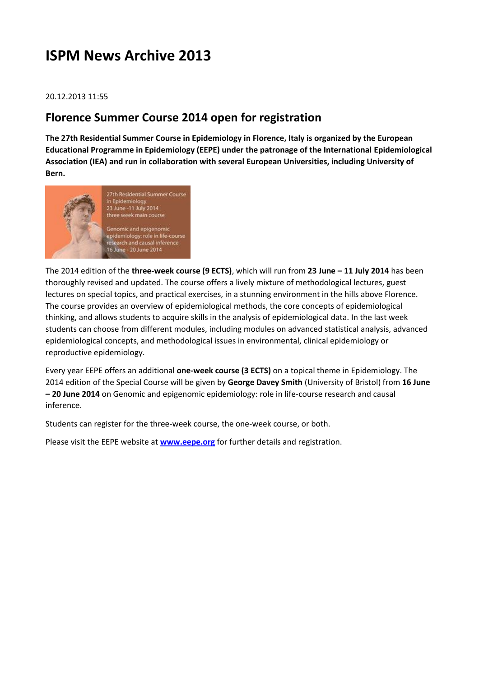# **ISPM News Archive 2013**

### 20.12.2013 11:55

### **Florence Summer Course 2014 open for registration**

**The 27th Residential Summer Course in Epidemiology in Florence, Italy is organized by the European Educational Programme in Epidemiology (EEPE) under the patronage of the International Epidemiological Association (IEA) and run in collaboration with several European Universities, including University of Bern.**



The 2014 edition of the **three-week course (9 ECTS)**, which will run from **23 June – 11 July 2014** has been thoroughly revised and updated. The course offers a lively mixture of methodological lectures, guest lectures on special topics, and practical exercises, in a stunning environment in the hills above Florence. The course provides an overview of epidemiological methods, the core concepts of epidemiological thinking, and allows students to acquire skills in the analysis of epidemiological data. In the last week students can choose from different modules, including modules on advanced statistical analysis, advanced epidemiological concepts, and methodological issues in environmental, clinical epidemiology or reproductive epidemiology.

Every year EEPE offers an additional **one-week course (3 ECTS)** on a topical theme in Epidemiology. The 2014 edition of the Special Course will be given by **George Davey Smith** (University of Bristol) from **16 June – 20 June 2014** on Genomic and epigenomic epidemiology: role in life-course research and causal inference.

Students can register for the three-week course, the one-week course, or both.

Please visit the EEPE website at **[www.eepe.org](http://www.eepe.org/)** for further details and registration.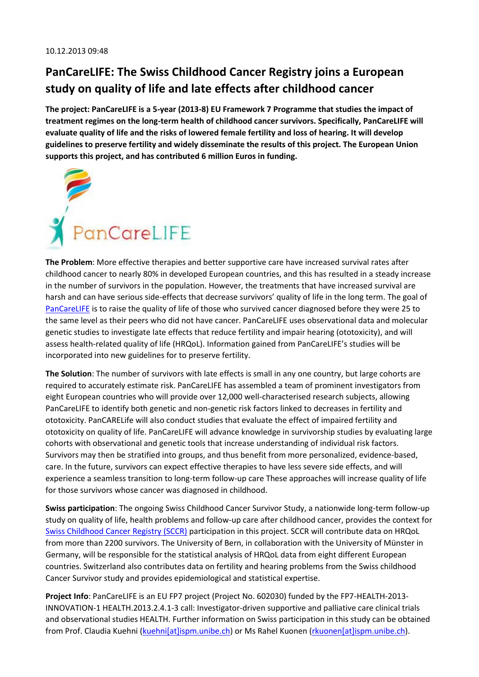# **PanCareLIFE: The Swiss Childhood Cancer Registry joins a European study on quality of life and late effects after childhood cancer**

**The project: PanCareLIFE is a 5-year (2013-8) EU Framework 7 Programme that studies the impact of treatment regimes on the long-term health of childhood cancer survivors. Specifically, PanCareLIFE will evaluate quality of life and the risks of lowered female fertility and loss of hearing. It will develop guidelines to preserve fertility and widely disseminate the results of this project. The European Union supports this project, and has contributed 6 million Euros in funding.**



**The Problem**: More effective therapies and better supportive care have increased survival rates after childhood cancer to nearly 80% in developed European countries, and this has resulted in a steady increase in the number of survivors in the population. However, the treatments that have increased survival are harsh and can have serious side-effects that decrease survivors' quality of life in the long term. The goal of [PanCareLIFE](http://www.pancarelife.eu/) is to raise the quality of life of those who survived cancer diagnosed before they were 25 to the same level as their peers who did not have cancer. PanCareLIFE uses observational data and molecular genetic studies to investigate late effects that reduce fertility and impair hearing (ototoxicity), and will assess health-related quality of life (HRQoL). Information gained from PanCareLIFE's studies will be incorporated into new guidelines for to preserve fertility.

**The Solution**: The number of survivors with late effects is small in any one country, but large cohorts are required to accurately estimate risk. PanCareLIFE has assembled a team of prominent investigators from eight European countries who will provide over 12,000 well-characterised research subjects, allowing PanCareLIFE to identify both genetic and non-genetic risk factors linked to decreases in fertility and ototoxicity. PanCARELife will also conduct studies that evaluate the effect of impaired fertility and ototoxicity on quality of life. PanCareLIFE will advance knowledge in survivorship studies by evaluating large cohorts with observational and genetic tools that increase understanding of individual risk factors. Survivors may then be stratified into groups, and thus benefit from more personalized, evidence-based, care. In the future, survivors can expect effective therapies to have less severe side effects, and will experience a seamless transition to long-term follow-up care These approaches will increase quality of life for those survivors whose cancer was diagnosed in childhood.

**Swiss participation**: The ongoing Swiss Childhood Cancer Survivor Study, a nationwide long-term follow-up study on quality of life, health problems and follow-up care after childhood cancer, provides the context for [Swiss Childhood Cancer Registry \(SCCR\)](http://www.kinderkrebsregister.ch/) participation in this project. SCCR will contribute data on HRQoL from more than 2200 survivors. The University of Bern, in collaboration with the University of Münster in Germany, will be responsible for the statistical analysis of HRQoL data from eight different European countries. Switzerland also contributes data on fertility and hearing problems from the Swiss childhood Cancer Survivor study and provides epidemiological and statistical expertise.

**Project Info**: PanCareLIFE is an EU FP7 project (Project No. 602030) funded by the FP7-HEALTH-2013- INNOVATION-1 HEALTH.2013.2.4.1-3 call: Investigator-driven supportive and palliative care clinical trials and observational studies HEALTH. Further information on Swiss participation in this study can be obtained from Prof. Claudia Kuehni [\(kuehni\[at\]ispm.unibe.ch\)](javascript:linkTo_UnCryptMailto() or Ms Rahel Kuonen (rkuonen [at]ispm.unibe.ch).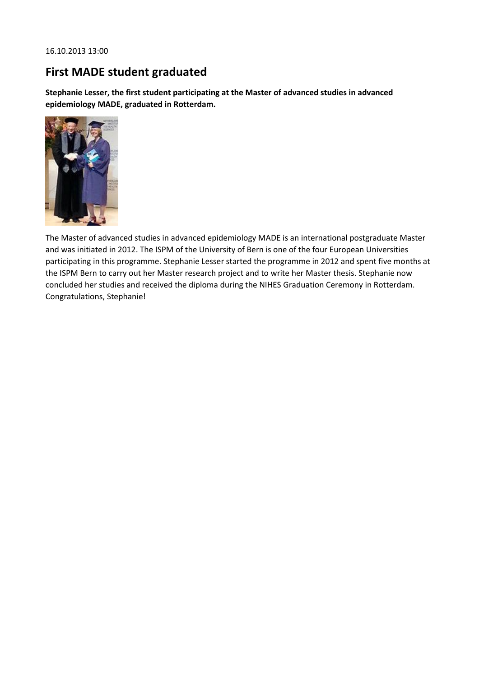# **First MADE student graduated**

**Stephanie Lesser, the first student participating at the Master of advanced studies in advanced epidemiology MADE, graduated in Rotterdam.**



The Master of advanced studies in advanced epidemiology MADE is an international postgraduate Master and was initiated in 2012. The ISPM of the University of Bern is one of the four European Universities participating in this programme. Stephanie Lesser started the programme in 2012 and spent five months at the ISPM Bern to carry out her Master research project and to write her Master thesis. Stephanie now concluded her studies and received the diploma during the NIHES Graduation Ceremony in Rotterdam. Congratulations, Stephanie!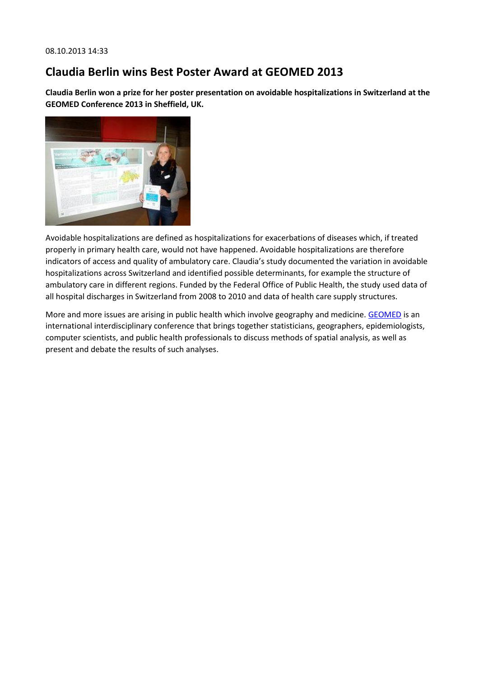## **Claudia Berlin wins Best Poster Award at GEOMED 2013**

**Claudia Berlin won a prize for her poster presentation on avoidable hospitalizations in Switzerland at the GEOMED Conference 2013 in Sheffield, UK.**



Avoidable hospitalizations are defined as hospitalizations for exacerbations of diseases which, if treated properly in primary health care, would not have happened. Avoidable hospitalizations are therefore indicators of access and quality of ambulatory care. Claudia's study documented the variation in avoidable hospitalizations across Switzerland and identified possible determinants, for example the structure of ambulatory care in different regions. Funded by the Federal Office of Public Health, the study used data of all hospital discharges in Switzerland from 2008 to 2010 and data of health care supply structures.

More and more issues are arising in public health which involve geography and medicine. [GEOMED](http://www.shef.ac.uk/scharr/sections/ph/conferences/geomed2013/history) is an international interdisciplinary conference that brings together statisticians, geographers, epidemiologists, computer scientists, and public health professionals to discuss methods of spatial analysis, as well as present and debate the results of such analyses.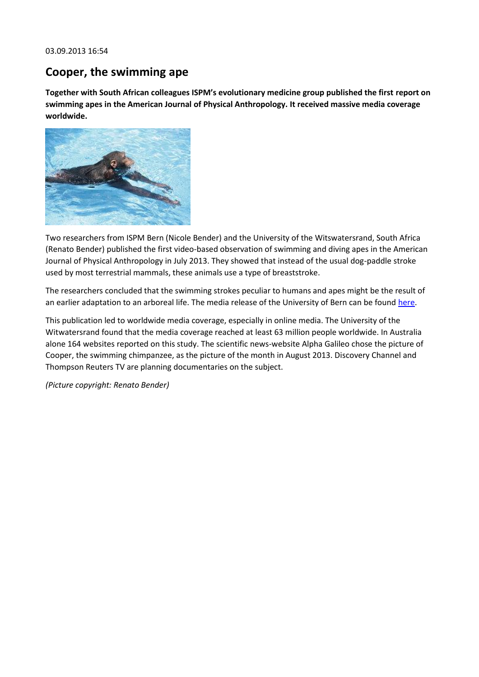03.09.2013 16:54

## **Cooper, the swimming ape**

**Together with South African colleagues ISPM's evolutionary medicine group published the first report on swimming apes in the American Journal of Physical Anthropology. It received massive media coverage worldwide.**



Two researchers from ISPM Bern (Nicole Bender) and the University of the Witswatersrand, South Africa (Renato Bender) published the first video-based observation of swimming and diving apes in the American Journal of Physical Anthropology in July 2013. They showed that instead of the usual dog-paddle stroke used by most terrestrial mammals, these animals use a type of breaststroke.

The researchers concluded that the swimming strokes peculiar to humans and apes might be the result of an earlier adaptation to an arboreal life. The media release of the University of Bern can be found [here.](http://www.kommunikation.unibe.ch/content/medien/medienmitteilungen/news/2013/videos_zeigen_erstmals_menschenaffen_beim_schwimmen/index_ger.html)

This publication led to worldwide media coverage, especially in online media. The University of the Witwatersrand found that the media coverage reached at least 63 million people worldwide. In Australia alone 164 websites reported on this study. The scientific news-website Alpha Galileo chose the picture of Cooper, the swimming chimpanzee, as the picture of the month in August 2013. Discovery Channel and Thompson Reuters TV are planning documentaries on the subject.

*(Picture copyright: Renato Bender)*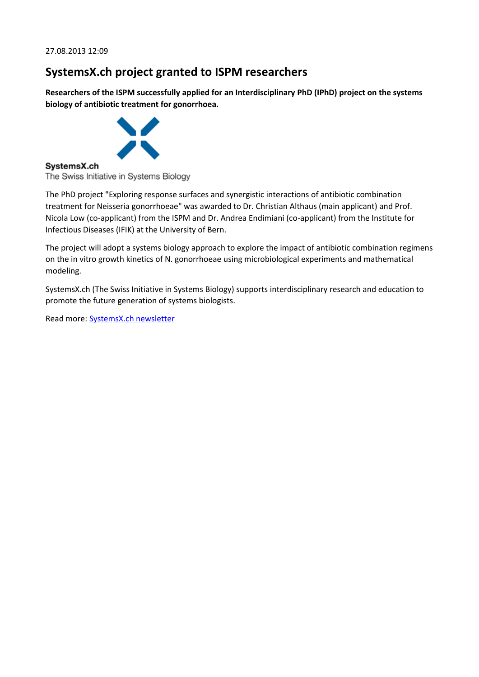## **SystemsX.ch project granted to ISPM researchers**

**Researchers of the ISPM successfully applied for an Interdisciplinary PhD (IPhD) project on the systems biology of antibiotic treatment for gonorrhoea.**



### SystemsX.ch

The Swiss Initiative in Systems Biology

The PhD project "Exploring response surfaces and synergistic interactions of antibiotic combination treatment for Neisseria gonorrhoeae" was awarded to Dr. Christian Althaus (main applicant) and Prof. Nicola Low (co-applicant) from the ISPM and Dr. Andrea Endimiani (co-applicant) from the Institute for Infectious Diseases (IFIK) at the University of Bern.

The project will adopt a systems biology approach to explore the impact of antibiotic combination regimens on the in vitro growth kinetics of N. gonorrhoeae using microbiological experiments and mathematical modeling.

SystemsX.ch (The Swiss Initiative in Systems Biology) supports interdisciplinary research and education to promote the future generation of systems biologists.

Read more: [SystemsX.ch newsletter](http://www.systemsx.ch/communication/systemsxch-communication/x-change/x-change-full-article-results-7th-call/)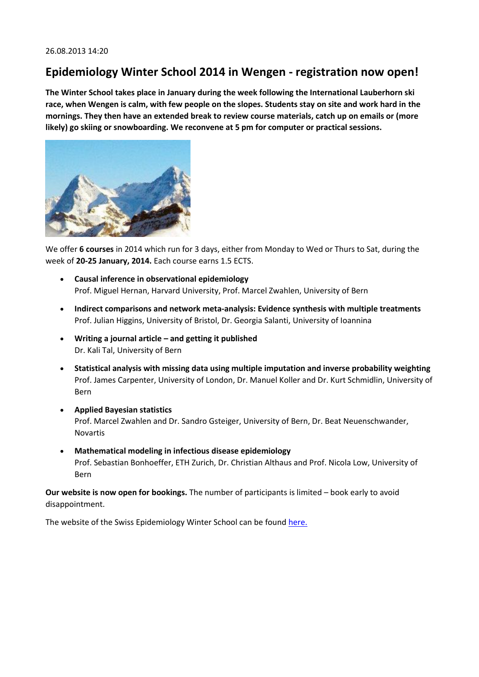## **Epidemiology Winter School 2014 in Wengen - registration now open!**

**The Winter School takes place in January during the week following the International Lauberhorn ski race, when Wengen is calm, with few people on the slopes. Students stay on site and work hard in the mornings. They then have an extended break to review course materials, catch up on emails or (more likely) go skiing or snowboarding. We reconvene at 5 pm for computer or practical sessions.**



We offer **6 courses** in 2014 which run for 3 days, either from Monday to Wed or Thurs to Sat, during the week of **20-25 January, 2014.** Each course earns 1.5 ECTS.

- **Causal inference in observational epidemiology** Prof. Miguel Hernan, Harvard University, Prof. Marcel Zwahlen, University of Bern
- **Indirect comparisons and network meta-analysis: Evidence synthesis with multiple treatments** Prof. Julian Higgins, University of Bristol, Dr. Georgia Salanti, University of Ioannina
- **Writing a journal article – and getting it published** Dr. Kali Tal, University of Bern
- **Statistical analysis with missing data using multiple imputation and inverse probability weighting** Prof. James Carpenter, University of London, Dr. Manuel Koller and Dr. Kurt Schmidlin, University of Bern
- **Applied Bayesian statistics** Prof. Marcel Zwahlen and Dr. Sandro Gsteiger, University of Bern, Dr. Beat Neuenschwander, Novartis
- **Mathematical modeling in infectious disease epidemiology** Prof. Sebastian Bonhoeffer, ETH Zurich, Dr. Christian Althaus and Prof. Nicola Low, University of Bern

**Our website is now open for bookings.** The number of participants is limited – book early to avoid disappointment.

The website of the Swiss Epidemiology Winter School can be foun[d here.](http://www.epi-winterschool.org/)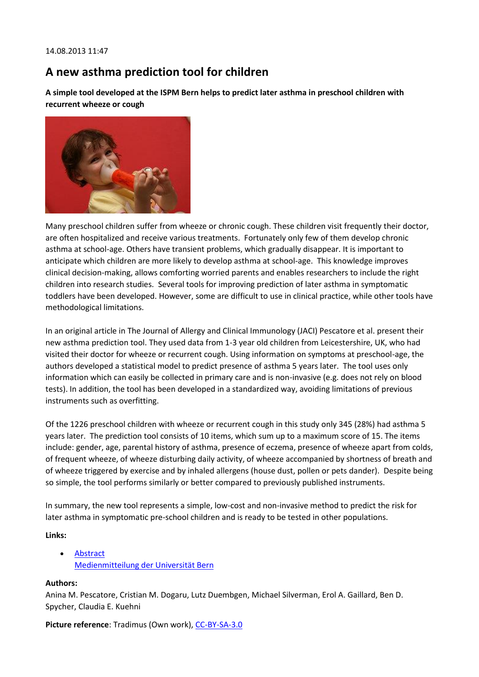## **A new asthma prediction tool for children**

**A simple tool developed at the ISPM Bern helps to predict later asthma in preschool children with recurrent wheeze or cough**



Many preschool children suffer from wheeze or chronic cough. These children visit frequently their doctor, are often hospitalized and receive various treatments. Fortunately only few of them develop chronic asthma at school-age. Others have transient problems, which gradually disappear. It is important to anticipate which children are more likely to develop asthma at school-age. This knowledge improves clinical decision-making, allows comforting worried parents and enables researchers to include the right children into research studies. Several tools for improving prediction of later asthma in symptomatic toddlers have been developed. However, some are difficult to use in clinical practice, while other tools have methodological limitations.

In an original article in The Journal of Allergy and Clinical Immunology (JACI) Pescatore et al. present their new asthma prediction tool. They used data from 1-3 year old children from Leicestershire, UK, who had visited their doctor for wheeze or recurrent cough. Using information on symptoms at preschool-age, the authors developed a statistical model to predict presence of asthma 5 years later. The tool uses only information which can easily be collected in primary care and is non-invasive (e.g. does not rely on blood tests). In addition, the tool has been developed in a standardized way, avoiding limitations of previous instruments such as overfitting.

Of the 1226 preschool children with wheeze or recurrent cough in this study only 345 (28%) had asthma 5 years later. The prediction tool consists of 10 items, which sum up to a maximum score of 15. The items include: gender, age, parental history of asthma, presence of eczema, presence of wheeze apart from colds, of frequent wheeze, of wheeze disturbing daily activity, of wheeze accompanied by shortness of breath and of wheeze triggered by exercise and by inhaled allergens (house dust, pollen or pets dander). Despite being so simple, the tool performs similarly or better compared to previously published instruments.

In summary, the new tool represents a simple, low-cost and non-invasive method to predict the risk for later asthma in symptomatic pre-school children and is ready to be tested in other populations.

**Links:**

• [Abstract](http://www.ncbi.nlm.nih.gov/pubmed/23891353) [Medienmitteilung der Universität Bern](http://www.kommunikation.unibe.ch/content/medien/medienmitteilungen/news/2013/kinder_asthma/index_ger.html)

### **Authors:**

Anina M. Pescatore, Cristian M. Dogaru, Lutz Duembgen, Michael Silverman, Erol A. Gaillard, Ben D. Spycher, Claudia E. Kuehni

**Picture reference:** Tradimus (Own work), [CC-BY-SA-3.0](http://creativecommons.org/licenses/by-sa/3.0)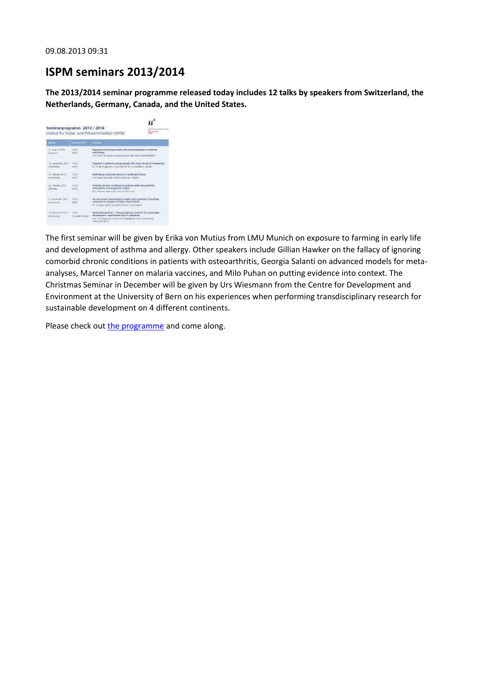### **ISPM seminars 2013/2014**

**The 2013/2014 seminar programme released today includes 12 talks by speakers from Switzerland, the Netherlands, Germany, Canada, and the United States.**

| <b>Teller</b>                               | <b>THE ANE OVER</b>       | <b>Venture</b>                                                                                                                                                                                |
|---------------------------------------------|---------------------------|-----------------------------------------------------------------------------------------------------------------------------------------------------------------------------------------------|
| <b>IT-AquilAtt</b><br>Minister              | 74.92<br><b>Circle</b>    | Represent to focusing in AA/p 3/9 and discrimentary attentions.<br>and adungul<br>INVESTIGATION OF LODGE SERVICES CONTROL MUSIC.                                                              |
| M. Serienter 2013<br><b>VW WATCHER</b>      | 16:00<br><b>Purfer</b>    | Pluguilità C-salifamis america availa refra legali. Enga in Califamiandi<br>the study was performance and consider the state of the state of                                                  |
| TO ORIGINAL 2018<br><b>ENVIRONO</b>         | Te 2D<br><b>SINS</b>      | Reichte Krep zum Harten und Freien and eine Elbrech-<br>mal stave rate and writes services interfall                                                                                          |
| 22 Obuder 2013<br>pietrad                   | $16 - 10$<br>ning)        | Carenzo di evic conditioni hundiato with cosaurhoto.<br>ation afford and programs inquiry<br>For data Hawe Knowly of Several                                                                  |
| 21 PERMIT DILLY<br>Tankirkin                | 14.95<br><b>DOM NO</b>    | An gring case were alabeled middle joint sending should lose.<br>existenci to concent include inscriptions.<br>Dr. George Seleral American Inference & Greater                                |
| <b>ID Divine By D.C.</b><br><b>Detailed</b> | 16.00<br>Scriber No. 1976 | Machwach established in Thier edited as a consecutive for excess when<br>explorated association board outsiders.<br>For Gri Manhan of provide Development and Divouwhere."<br>Marketing Barks |

The first seminar will be given by Erika von Mutius from LMU Munich on exposure to farming in early life and development of asthma and allergy. Other speakers include Gillian Hawker on the fallacy of ignoring comorbid chronic conditions in patients with osteoarthritis, Georgia Salanti on advanced models for metaanalyses, Marcel Tanner on malaria vaccines, and Milo Puhan on putting evidence into context. The Christmas Seminar in December will be given by Urs Wiesmann from the Centre for Development and Environment at the University of Bern on his experiences when performing transdisciplinary research for sustainable development on 4 different continents.

Please check ou[t the programme](http://www.ispm.ch/fileadmin/doc_download/Seminare/Zyklus_2013-2014/Seminarprogramm_ISPM_2013-2014.pdf) and come along.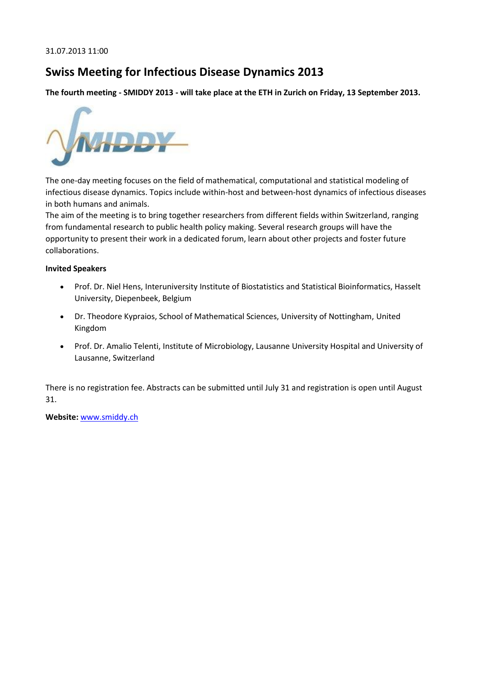## **Swiss Meeting for Infectious Disease Dynamics 2013**

**The fourth meeting - SMIDDY 2013 - will take place at the ETH in Zurich on Friday, 13 September 2013.**



The one-day meeting focuses on the field of mathematical, computational and statistical modeling of infectious disease dynamics. Topics include within-host and between-host dynamics of infectious diseases in both humans and animals.

The aim of the meeting is to bring together researchers from different fields within Switzerland, ranging from fundamental research to public health policy making. Several research groups will have the opportunity to present their work in a dedicated forum, learn about other projects and foster future collaborations.

### **Invited Speakers**

- Prof. Dr. Niel Hens, Interuniversity Institute of Biostatistics and Statistical Bioinformatics, Hasselt University, Diepenbeek, Belgium
- Dr. Theodore Kypraios, School of Mathematical Sciences, University of Nottingham, United Kingdom
- Prof. Dr. Amalio Telenti, Institute of Microbiology, Lausanne University Hospital and University of Lausanne, Switzerland

There is no registration fee. Abstracts can be submitted until July 31 and registration is open until August 31.

**Website:** [www.smiddy.ch](http://www.smiddy.ch/)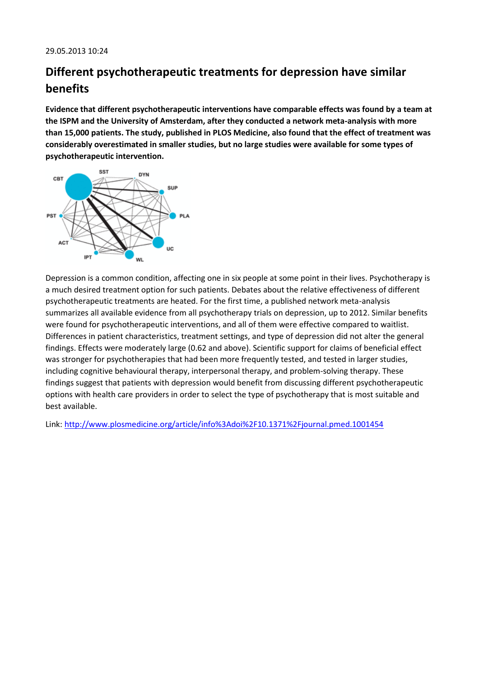# **Different psychotherapeutic treatments for depression have similar benefits**

**Evidence that different psychotherapeutic interventions have comparable effects was found by a team at the ISPM and the University of Amsterdam, after they conducted a network meta-analysis with more than 15,000 patients. The study, published in PLOS Medicine, also found that the effect of treatment was considerably overestimated in smaller studies, but no large studies were available for some types of psychotherapeutic intervention.**



Depression is a common condition, affecting one in six people at some point in their lives. Psychotherapy is a much desired treatment option for such patients. Debates about the relative effectiveness of different psychotherapeutic treatments are heated. For the first time, a published network meta-analysis summarizes all available evidence from all psychotherapy trials on depression, up to 2012. Similar benefits were found for psychotherapeutic interventions, and all of them were effective compared to waitlist. Differences in patient characteristics, treatment settings, and type of depression did not alter the general findings. Effects were moderately large (0.62 and above). Scientific support for claims of beneficial effect was stronger for psychotherapies that had been more frequently tested, and tested in larger studies, including cognitive behavioural therapy, interpersonal therapy, and problem-solving therapy. These findings suggest that patients with depression would benefit from discussing different psychotherapeutic options with health care providers in order to select the type of psychotherapy that is most suitable and best available.

Link:<http://www.plosmedicine.org/article/info%3Adoi%2F10.1371%2Fjournal.pmed.1001454>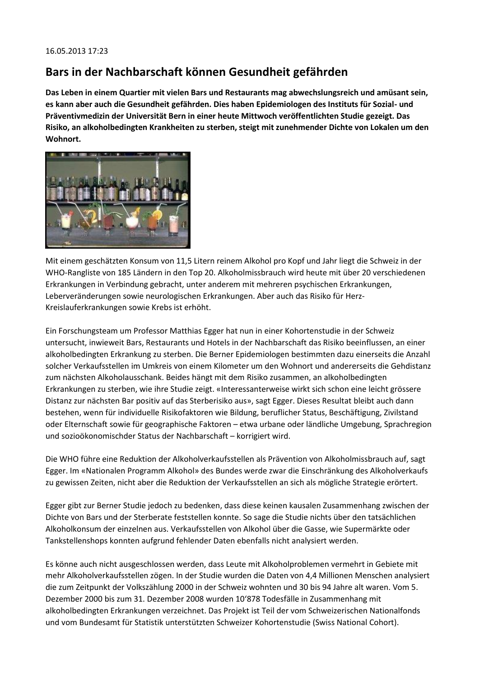## **Bars in der Nachbarschaft können Gesundheit gefährden**

**Das Leben in einem Quartier mit vielen Bars und Restaurants mag abwechslungsreich und amüsant sein, es kann aber auch die Gesundheit gefährden. Dies haben Epidemiologen des Instituts für Sozial- und Präventivmedizin der Universität Bern in einer heute Mittwoch veröffentlichten Studie gezeigt. Das Risiko, an alkoholbedingten Krankheiten zu sterben, steigt mit zunehmender Dichte von Lokalen um den Wohnort.**



Mit einem geschätzten Konsum von 11,5 Litern reinem Alkohol pro Kopf und Jahr liegt die Schweiz in der WHO-Rangliste von 185 Ländern in den Top 20. Alkoholmissbrauch wird heute mit über 20 verschiedenen Erkrankungen in Verbindung gebracht, unter anderem mit mehreren psychischen Erkrankungen, Leberveränderungen sowie neurologischen Erkrankungen. Aber auch das Risiko für Herz-Kreislauferkrankungen sowie Krebs ist erhöht.

Ein Forschungsteam um Professor Matthias Egger hat nun in einer Kohortenstudie in der Schweiz untersucht, inwieweit Bars, Restaurants und Hotels in der Nachbarschaft das Risiko beeinflussen, an einer alkoholbedingten Erkrankung zu sterben. Die Berner Epidemiologen bestimmten dazu einerseits die Anzahl solcher Verkaufsstellen im Umkreis von einem Kilometer um den Wohnort und andererseits die Gehdistanz zum nächsten Alkoholausschank. Beides hängt mit dem Risiko zusammen, an alkoholbedingten Erkrankungen zu sterben, wie ihre Studie zeigt. «Interessanterweise wirkt sich schon eine leicht grössere Distanz zur nächsten Bar positiv auf das Sterberisiko aus», sagt Egger. Dieses Resultat bleibt auch dann bestehen, wenn für individuelle Risikofaktoren wie Bildung, beruflicher Status, Beschäftigung, Zivilstand oder Elternschaft sowie für geographische Faktoren – etwa urbane oder ländliche Umgebung, Sprachregion und sozioökonomischder Status der Nachbarschaft – korrigiert wird.

Die WHO führe eine Reduktion der Alkoholverkaufsstellen als Prävention von Alkoholmissbrauch auf, sagt Egger. Im «Nationalen Programm Alkohol» des Bundes werde zwar die Einschränkung des Alkoholverkaufs zu gewissen Zeiten, nicht aber die Reduktion der Verkaufsstellen an sich als mögliche Strategie erörtert.

Egger gibt zur Berner Studie jedoch zu bedenken, dass diese keinen kausalen Zusammenhang zwischen der Dichte von Bars und der Sterberate feststellen konnte. So sage die Studie nichts über den tatsächlichen Alkoholkonsum der einzelnen aus. Verkaufsstellen von Alkohol über die Gasse, wie Supermärkte oder Tankstellenshops konnten aufgrund fehlender Daten ebenfalls nicht analysiert werden.

Es könne auch nicht ausgeschlossen werden, dass Leute mit Alkoholproblemen vermehrt in Gebiete mit mehr Alkoholverkaufsstellen zögen. In der Studie wurden die Daten von 4,4 Millionen Menschen analysiert die zum Zeitpunkt der Volkszählung 2000 in der Schweiz wohnten und 30 bis 94 Jahre alt waren. Vom 5. Dezember 2000 bis zum 31. Dezember 2008 wurden 10'878 Todesfälle in Zusammenhang mit alkoholbedingten Erkrankungen verzeichnet. Das Projekt ist Teil der vom Schweizerischen Nationalfonds und vom Bundesamt für Statistik unterstützten Schweizer Kohortenstudie (Swiss National Cohort).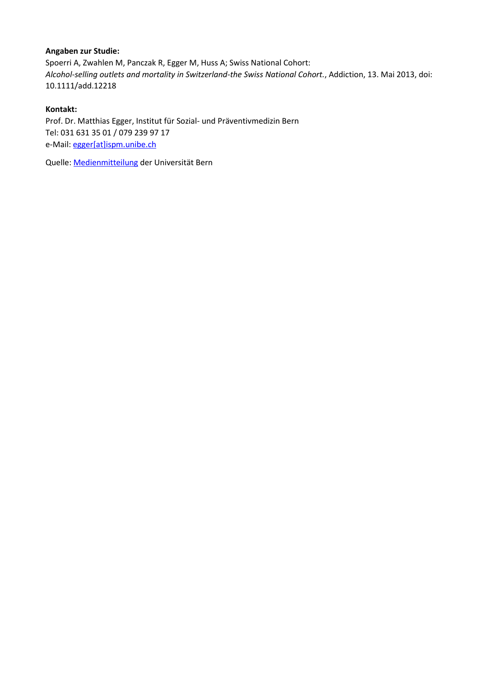### **Angaben zur Studie:**

Spoerri A, Zwahlen M, Panczak R, Egger M, Huss A; Swiss National Cohort: *Alcohol-selling outlets and mortality in Switzerland-the Swiss National Cohort.*, Addiction, 13. Mai 2013, doi: 10.1111/add.12218

### **Kontakt:**

Prof. Dr. Matthias Egger, Institut für Sozial- und Präventivmedizin Bern Tel: 031 631 35 01 / 079 239 97 17 e-Mail[: egger\[at\]ispm.unibe.ch](javascript:linkTo_UnCryptMailto()

Quelle: [Medienmitteilung](http://www.kommunikation.unibe.ch/content/medien/medienmitteilungen/news/2013/alkohol/) der Universität Bern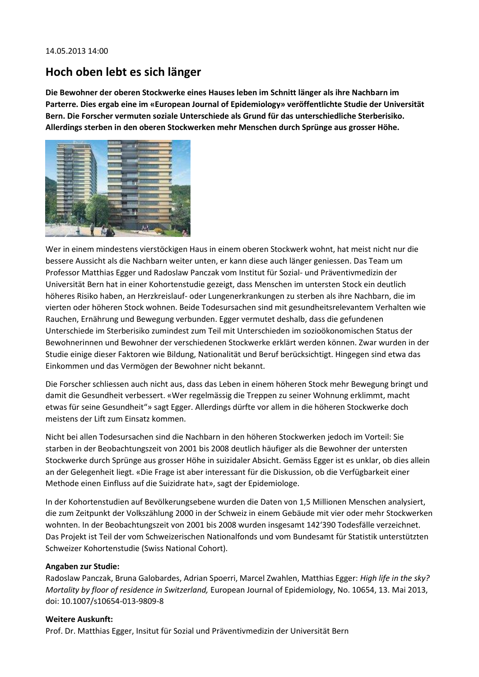### **Hoch oben lebt es sich länger**

**Die Bewohner der oberen Stockwerke eines Hauses leben im Schnitt länger als ihre Nachbarn im Parterre. Dies ergab eine im «European Journal of Epidemiology» veröffentlichte Studie der Universität Bern. Die Forscher vermuten soziale Unterschiede als Grund für das unterschiedliche Sterberisiko. Allerdings sterben in den oberen Stockwerken mehr Menschen durch Sprünge aus grosser Höhe.**



Wer in einem mindestens vierstöckigen Haus in einem oberen Stockwerk wohnt, hat meist nicht nur die bessere Aussicht als die Nachbarn weiter unten, er kann diese auch länger geniessen. Das Team um Professor Matthias Egger und Radoslaw Panczak vom Institut für Sozial- und Präventivmedizin der Universität Bern hat in einer Kohortenstudie gezeigt, dass Menschen im untersten Stock ein deutlich höheres Risiko haben, an Herzkreislauf- oder Lungenerkrankungen zu sterben als ihre Nachbarn, die im vierten oder höheren Stock wohnen. Beide Todesursachen sind mit gesundheitsrelevantem Verhalten wie Rauchen, Ernährung und Bewegung verbunden. Egger vermutet deshalb, dass die gefundenen Unterschiede im Sterberisiko zumindest zum Teil mit Unterschieden im sozioökonomischen Status der Bewohnerinnen und Bewohner der verschiedenen Stockwerke erklärt werden können. Zwar wurden in der Studie einige dieser Faktoren wie Bildung, Nationalität und Beruf berücksichtigt. Hingegen sind etwa das Einkommen und das Vermögen der Bewohner nicht bekannt.

Die Forscher schliessen auch nicht aus, dass das Leben in einem höheren Stock mehr Bewegung bringt und damit die Gesundheit verbessert. «Wer regelmässig die Treppen zu seiner Wohnung erklimmt, macht etwas für seine Gesundheit"» sagt Egger. Allerdings dürfte vor allem in die höheren Stockwerke doch meistens der Lift zum Einsatz kommen.

Nicht bei allen Todesursachen sind die Nachbarn in den höheren Stockwerken jedoch im Vorteil: Sie starben in der Beobachtungszeit von 2001 bis 2008 deutlich häufiger als die Bewohner der untersten Stockwerke durch Sprünge aus grosser Höhe in suizidaler Absicht. Gemäss Egger ist es unklar, ob dies allein an der Gelegenheit liegt. «Die Frage ist aber interessant für die Diskussion, ob die Verfügbarkeit einer Methode einen Einfluss auf die Suizidrate hat», sagt der Epidemiologe.

In der Kohortenstudien auf Bevölkerungsebene wurden die Daten von 1,5 Millionen Menschen analysiert, die zum Zeitpunkt der Volkszählung 2000 in der Schweiz in einem Gebäude mit vier oder mehr Stockwerken wohnten. In der Beobachtungszeit von 2001 bis 2008 wurden insgesamt 142'390 Todesfälle verzeichnet. Das Projekt ist Teil der vom Schweizerischen Nationalfonds und vom Bundesamt für Statistik unterstützten Schweizer Kohortenstudie (Swiss National Cohort).

### **Angaben zur Studie:**

Radoslaw Panczak, Bruna Galobardes, Adrian Spoerri, Marcel Zwahlen, Matthias Egger: *High life in the sky? Mortality by floor of residence in Switzerland,* European Journal of Epidemiology, No. 10654, 13. Mai 2013, doi: 10.1007/s10654-013-9809-8

### **Weitere Auskunft:**

Prof. Dr. Matthias Egger, Insitut für Sozial und Präventivmedizin der Universität Bern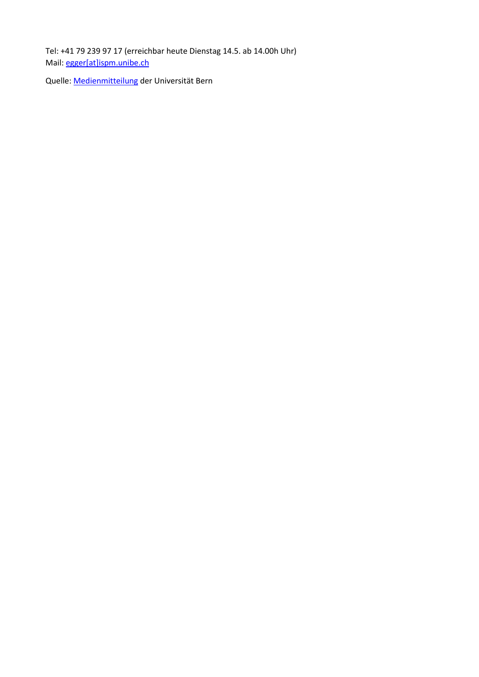Tel: +41 79 239 97 17 (erreichbar heute Dienstag 14.5. ab 14.00h Uhr) Mail: [egger\[at\]ispm.unibe.ch](javascript:linkTo_UnCryptMailto()

Quelle: [Medienmitteilung](http://www.kommunikation.unibe.ch/content/medien/medienmitteilungen/news/2013/hochhaus/index_ger.html) der Universität Bern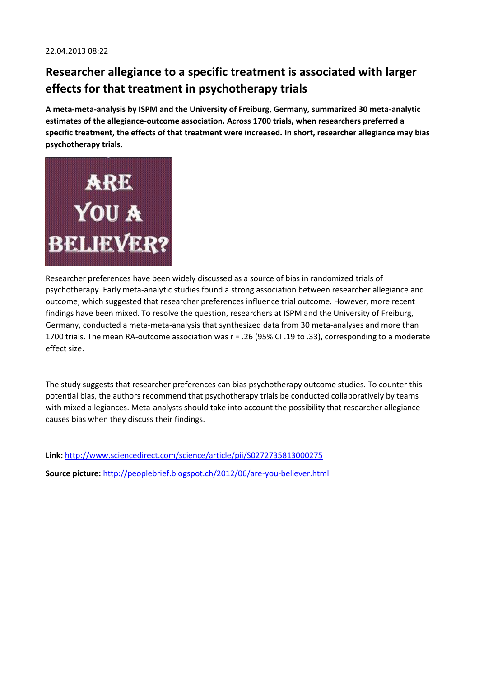# **Researcher allegiance to a specific treatment is associated with larger effects for that treatment in psychotherapy trials**

**A meta-meta-analysis by ISPM and the University of Freiburg, Germany, summarized 30 meta-analytic estimates of the allegiance-outcome association. Across 1700 trials, when researchers preferred a specific treatment, the effects of that treatment were increased. In short, researcher allegiance may bias psychotherapy trials.**



Researcher preferences have been widely discussed as a source of bias in randomized trials of psychotherapy. Early meta-analytic studies found a strong association between researcher allegiance and outcome, which suggested that researcher preferences influence trial outcome. However, more recent findings have been mixed. To resolve the question, researchers at ISPM and the University of Freiburg, Germany, conducted a meta-meta-analysis that synthesized data from 30 meta-analyses and more than 1700 trials. The mean RA-outcome association was r = .26 (95% CI .19 to .33), corresponding to a moderate effect size.

The study suggests that researcher preferences can bias psychotherapy outcome studies. To counter this potential bias, the authors recommend that psychotherapy trials be conducted collaboratively by teams with mixed allegiances. Meta-analysts should take into account the possibility that researcher allegiance causes bias when they discuss their findings.

**Link:** <http://www.sciencedirect.com/science/article/pii/S0272735813000275>

**Source picture:** <http://peoplebrief.blogspot.ch/2012/06/are-you-believer.html>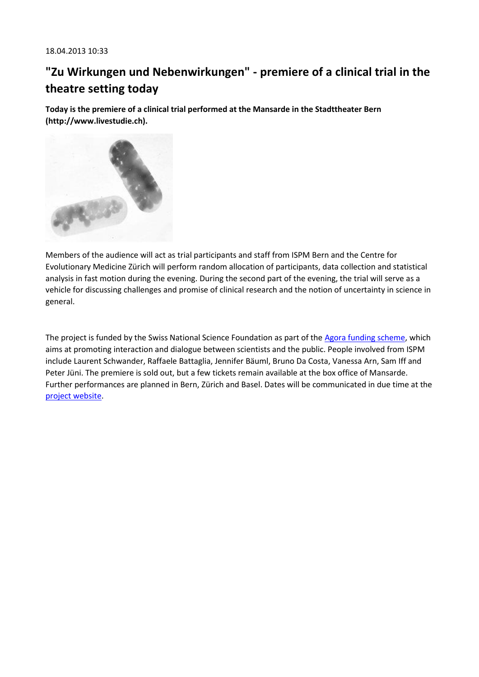# **"Zu Wirkungen und Nebenwirkungen" - premiere of a clinical trial in the theatre setting today**

**Today is the premiere of a clinical trial performed at the Mansarde in the Stadttheater Bern (http://www.livestudie.ch).**



Members of the audience will act as trial participants and staff from ISPM Bern and the Centre for Evolutionary Medicine Zürich will perform random allocation of participants, data collection and statistical analysis in fast motion during the evening. During the second part of the evening, the trial will serve as a vehicle for discussing challenges and promise of clinical research and the notion of uncertainty in science in general.

The project is funded by the Swiss National Science Foundation as part of th[e Agora funding scheme,](http://www.snf.ch/E/funding/science-communication/Pages/agora.aspx) which aims at promoting interaction and dialogue between scientists and the public. People involved from ISPM include Laurent Schwander, Raffaele Battaglia, Jennifer Bäuml, Bruno Da Costa, Vanessa Arn, Sam Iff and Peter Jüni. The premiere is sold out, but a few tickets remain available at the box office of Mansarde. Further performances are planned in Bern, Zürich and Basel. Dates will be communicated in due time at the [project website.](http://www.livestudie.ch/)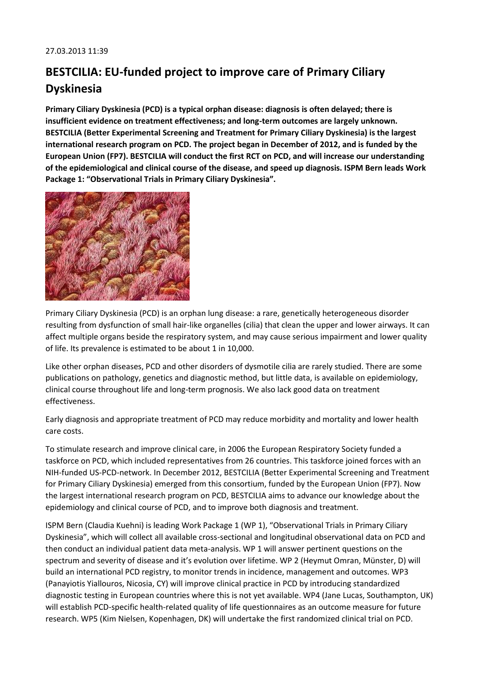# **BESTCILIA: EU-funded project to improve care of Primary Ciliary Dyskinesia**

**Primary Ciliary Dyskinesia (PCD) is a typical orphan disease: diagnosis is often delayed; there is insufficient evidence on treatment effectiveness; and long-term outcomes are largely unknown. BESTCILIA (Better Experimental Screening and Treatment for Primary Ciliary Dyskinesia) is the largest international research program on PCD. The project began in December of 2012, and is funded by the European Union (FP7). BESTCILIA will conduct the first RCT on PCD, and will increase our understanding of the epidemiological and clinical course of the disease, and speed up diagnosis. ISPM Bern leads Work Package 1: "Observational Trials in Primary Ciliary Dyskinesia".**



Primary Ciliary Dyskinesia (PCD) is an orphan lung disease: a rare, genetically heterogeneous disorder resulting from dysfunction of small hair-like organelles (cilia) that clean the upper and lower airways. It can affect multiple organs beside the respiratory system, and may cause serious impairment and lower quality of life. Its prevalence is estimated to be about 1 in 10,000.

Like other orphan diseases, PCD and other disorders of dysmotile cilia are rarely studied. There are some publications on pathology, genetics and diagnostic method, but little data, is available on epidemiology, clinical course throughout life and long-term prognosis. We also lack good data on treatment effectiveness.

Early diagnosis and appropriate treatment of PCD may reduce morbidity and mortality and lower health care costs.

To stimulate research and improve clinical care, in 2006 the European Respiratory Society funded a taskforce on PCD, which included representatives from 26 countries. This taskforce joined forces with an NIH-funded US-PCD-network. In December 2012, BESTCILIA (Better Experimental Screening and Treatment for Primary Ciliary Dyskinesia) emerged from this consortium, funded by the European Union (FP7). Now the largest international research program on PCD, BESTCILIA aims to advance our knowledge about the epidemiology and clinical course of PCD, and to improve both diagnosis and treatment.

ISPM Bern (Claudia Kuehni) is leading Work Package 1 (WP 1), "Observational Trials in Primary Ciliary Dyskinesia", which will collect all available cross-sectional and longitudinal observational data on PCD and then conduct an individual patient data meta-analysis. WP 1 will answer pertinent questions on the spectrum and severity of disease and it's evolution over lifetime. WP 2 (Heymut Omran, Münster, D) will build an international PCD registry, to monitor trends in incidence, management and outcomes. WP3 (Panayiotis Yiallouros, Nicosia, CY) will improve clinical practice in PCD by introducing standardized diagnostic testing in European countries where this is not yet available. WP4 (Jane Lucas, Southampton, UK) will establish PCD-specific health-related quality of life questionnaires as an outcome measure for future research. WP5 (Kim Nielsen, Kopenhagen, DK) will undertake the first randomized clinical trial on PCD.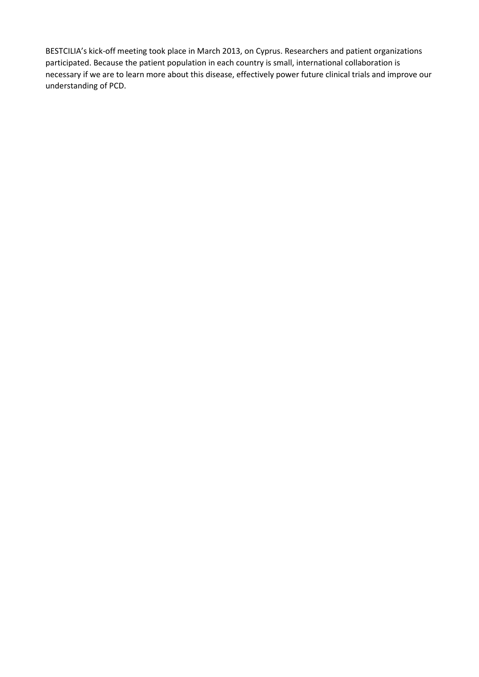BESTCILIA's kick-off meeting took place in March 2013, on Cyprus. Researchers and patient organizations participated. Because the patient population in each country is small, international collaboration is necessary if we are to learn more about this disease, effectively power future clinical trials and improve our understanding of PCD.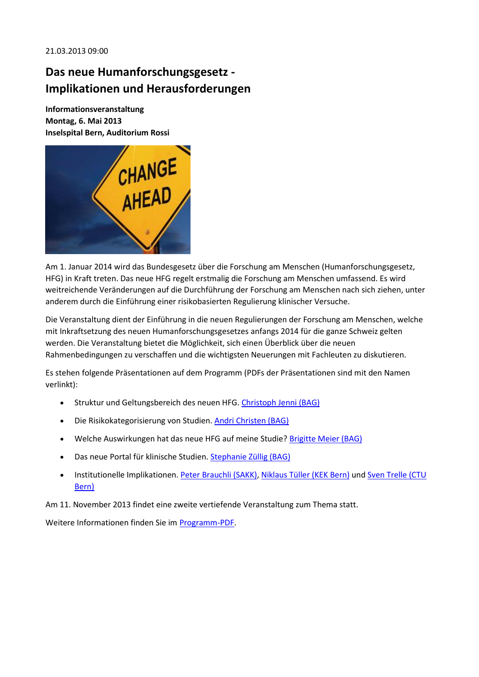#### 21.03.2013 09:00

## **Das neue Humanforschungsgesetz - Implikationen und Herausforderungen**

**Informationsveranstaltung Montag, 6. Mai 2013 Inselspital Bern, Auditorium Rossi**



Am 1. Januar 2014 wird das Bundesgesetz über die Forschung am Menschen (Humanforschungsgesetz, HFG) in Kraft treten. Das neue HFG regelt erstmalig die Forschung am Menschen umfassend. Es wird weitreichende Veränderungen auf die Durchführung der Forschung am Menschen nach sich ziehen, unter anderem durch die Einführung einer risikobasierten Regulierung klinischer Versuche.

Die Veranstaltung dient der Einführung in die neuen Regulierungen der Forschung am Menschen, welche mit Inkraftsetzung des neuen Humanforschungsgesetzes anfangs 2014 für die ganze Schweiz gelten werden. Die Veranstaltung bietet die Möglichkeit, sich einen Überblick über die neuen Rahmenbedingungen zu verschaffen und die wichtigsten Neuerungen mit Fachleuten zu diskutieren.

Es stehen folgende Präsentationen auf dem Programm (PDFs der Präsentationen sind mit den Namen verlinkt):

- Struktur und Geltungsbereich des neuen HFG. [Christoph Jenni \(BAG\)](http://www.ispm.ch/fileadmin/doc_download/CTU/hfg-event/2_CTU_BE_Symposium_2013_HFG-Grundlagen_JEC_II.pdf)
- Die Risikokategorisierung von Studien[. Andri Christen \(BAG\)](http://www.ispm.ch/fileadmin/doc_download/CTU/hfg-event/3_CTU_BE_Symposium_Kategorisierung_20130506.pdf)
- Welche Auswirkungen hat das neue HFG auf meine Studie[? Brigitte Meier \(BAG\)](http://www.ispm.ch/fileadmin/doc_download/CTU/hfg-event/4_CTU_BE_Symposium_Auswirkung_20130506.pdf)
- Das neue Portal für klinische Studien[. Stephanie Züllig \(BAG\)](http://www.ispm.ch/fileadmin/doc_download/CTU/hfg-event/5_CTU_BE_Symposium_Portal_20130506.pdf)
- Institutionelle Implikationen. [Peter Brauchli \(SAKK\),](http://www.ispm.ch/fileadmin/doc_download/CTU/hfg-event/7_SAKK_Peter_Brauchli.pdf) [Niklaus Tüller \(KEK Bern\)](http://www.ispm.ch/fileadmin/doc_download/CTU/hfg-event/6_KEK_Bern__Niklaus_Tueller.pdf) und Sven Trelle (CTU [Bern\)](http://www.ispm.ch/fileadmin/doc_download/CTU/hfg-event/8_HFG_CTUBern_20130506_Sven_Trelle.pdf)

Am 11. November 2013 findet eine zweite vertiefende Veranstaltung zum Thema statt.

Weitere Informationen finden Sie im [Programm-PDF.](http://www.ispm.ch/fileadmin/doc_download/News/news_0313_Das_neue_HFG_Infoveranstaltung_6-6-2013_Bern.pdf)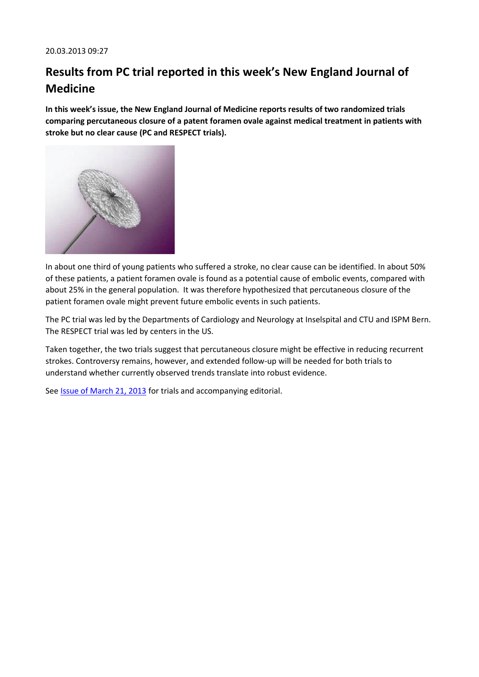# **Results from PC trial reported in this week's New England Journal of Medicine**

**In this week's issue, the New England Journal of Medicine reports results of two randomized trials comparing percutaneous closure of a patent foramen ovale against medical treatment in patients with stroke but no clear cause (PC and RESPECT trials).**



In about one third of young patients who suffered a stroke, no clear cause can be identified. In about 50% of these patients, a patient foramen ovale is found as a potential cause of embolic events, compared with about 25% in the general population. It was therefore hypothesized that percutaneous closure of the patient foramen ovale might prevent future embolic events in such patients.

The PC trial was led by the Departments of Cardiology and Neurology at Inselspital and CTU and ISPM Bern. The RESPECT trial was led by centers in the US.

Taken together, the two trials suggest that percutaneous closure might be effective in reducing recurrent strokes. Controversy remains, however, and extended follow-up will be needed for both trials to understand whether currently observed trends translate into robust evidence.

See **Issue of March 21, 2013** for trials and accompanying editorial.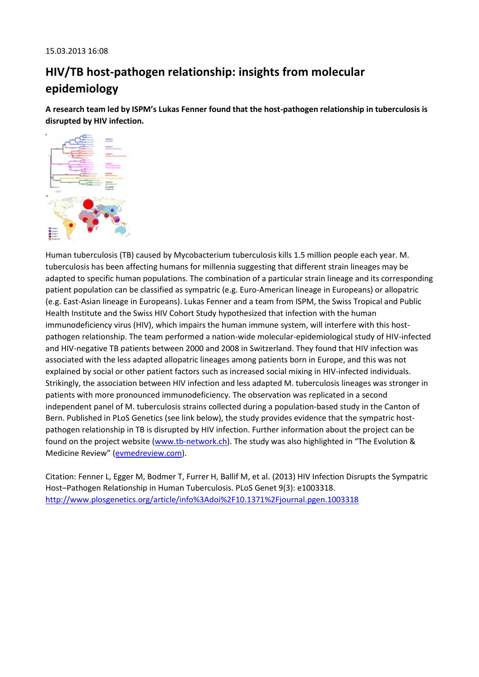# **HIV/TB host-pathogen relationship: insights from molecular epidemiology**

**A research team led by ISPM's Lukas Fenner found that the host-pathogen relationship in tuberculosis is disrupted by HIV infection.**



Human tuberculosis (TB) caused by Mycobacterium tuberculosis kills 1.5 million people each year. M. tuberculosis has been affecting humans for millennia suggesting that different strain lineages may be adapted to specific human populations. The combination of a particular strain lineage and its corresponding patient population can be classified as sympatric (e.g. Euro-American lineage in Europeans) or allopatric (e.g. East-Asian lineage in Europeans). Lukas Fenner and a team from ISPM, the Swiss Tropical and Public Health Institute and the Swiss HIV Cohort Study hypothesized that infection with the human immunodeficiency virus (HIV), which impairs the human immune system, will interfere with this hostpathogen relationship. The team performed a nation-wide molecular-epidemiological study of HIV-infected and HIV-negative TB patients between 2000 and 2008 in Switzerland. They found that HIV infection was associated with the less adapted allopatric lineages among patients born in Europe, and this was not explained by social or other patient factors such as increased social mixing in HIV-infected individuals. Strikingly, the association between HIV infection and less adapted M. tuberculosis lineages was stronger in patients with more pronounced immunodeficiency. The observation was replicated in a second independent panel of M. tuberculosis strains collected during a population-based study in the Canton of Bern. Published in PLoS Genetics (see link below), the study provides evidence that the sympatric hostpathogen relationship in TB is disrupted by HIV infection. Further information about the project can be found on the project website [\(www.tb-network.ch](http://www.tb-network.ch/)). The study was also highlighted in "The Evolution & Medicine Review" ([evmedreview.com\)](http://evmedreview.com/).

Citation: Fenner L, Egger M, Bodmer T, Furrer H, Ballif M, et al. (2013) HIV Infection Disrupts the Sympatric Host–Pathogen Relationship in Human Tuberculosis. PLoS Genet 9(3): e1003318. <http://www.plosgenetics.org/article/info%3Adoi%2F10.1371%2Fjournal.pgen.1003318>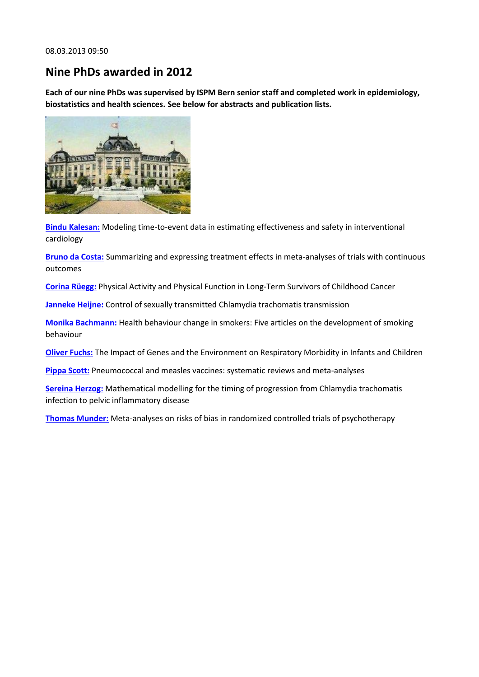## **Nine PhDs awarded in 2012**

**Each of our nine PhDs was supervised by ISPM Bern senior staff and completed work in epidemiology, biostatistics and health sciences. See below for abstracts and publication lists.**



**[Bindu Kalesan:](http://www.ispm.ch/fileadmin/doc_download/News/News_0313_Bindu_Kalesan.pdf)** Modeling time-to-event data in estimating effectiveness and safety in interventional cardiology

**[Bruno da Costa:](http://www.ispm.ch/fileadmin/doc_download/News/News_0313_Bruno_da_Costa.pdf)** Summarizing and expressing treatment effects in meta-analyses of trials with continuous outcomes

**[Corina Rüegg:](http://www.ispm.ch/fileadmin/doc_download/News/News_0313_Corina_Ruegg.pdf)** Physical Activity and Physical Function in Long-Term Survivors of Childhood Cancer

**[Janneke Heijne:](http://www.ispm.ch/fileadmin/doc_download/News/News_0313_Janneke_Heijne.pdf)** Control of sexually transmitted Chlamydia trachomatis transmission

**[Monika Bachmann:](http://www.ispm.ch/fileadmin/doc_download/News/News_0313_Monika_Bachmann.pdf)** Health behaviour change in smokers: Five articles on the development of smoking behaviour

**[Oliver Fuchs:](http://www.ispm.ch/fileadmin/doc_download/News/News_0313_Oliver_Fuchs.pdf)** The Impact of Genes and the Environment on Respiratory Morbidity in Infants and Children

**[Pippa Scott:](http://www.ispm.ch/fileadmin/doc_download/News/News_0313_Pippa_Scott.pdf)** Pneumococcal and measles vaccines: systematic reviews and meta-analyses

**[Sereina Herzog:](http://www.ispm.ch/fileadmin/doc_download/News/News_0313_Sereina_Herzog.pdf)** Mathematical modelling for the timing of progression from Chlamydia trachomatis infection to pelvic inflammatory disease

**[Thomas Munder:](http://www.ispm.ch/fileadmin/doc_download/News/News_0313_Thomas_Munder.pdf)** Meta-analyses on risks of bias in randomized controlled trials of psychotherapy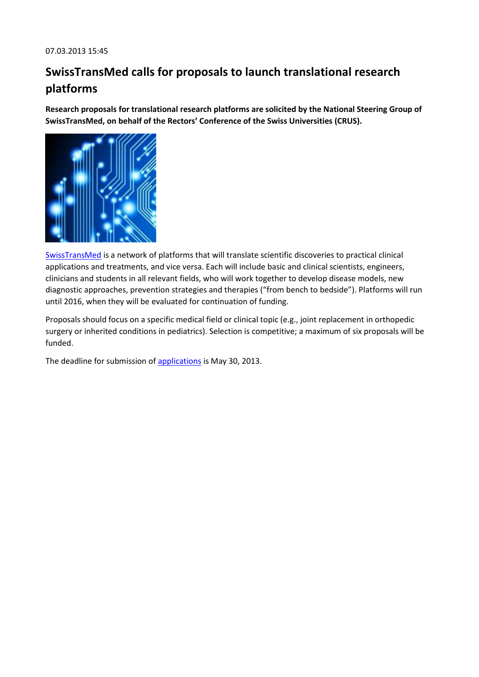# **SwissTransMed calls for proposals to launch translational research platforms**

**Research proposals for translational research platforms are solicited by the National Steering Group of SwissTransMed, on behalf of the Rectors' Conference of the Swiss Universities (CRUS).**



[SwissTransMed](http://www.swisstransmed.ch/) is a network of platforms that will translate scientific discoveries to practical clinical applications and treatments, and vice versa. Each will include basic and clinical scientists, engineers, clinicians and students in all relevant fields, who will work together to develop disease models, new diagnostic approaches, prevention strategies and therapies ("from bench to bedside"). Platforms will run until 2016, when they will be evaluated for continuation of funding.

Proposals should focus on a specific medical field or clinical topic (e.g., joint replacement in orthopedic surgery or inherited conditions in pediatrics). Selection is competitive; a maximum of six proposals will be funded.

The deadline for submission of [applications](http://www.swisstransmed.ch/) is May 30, 2013.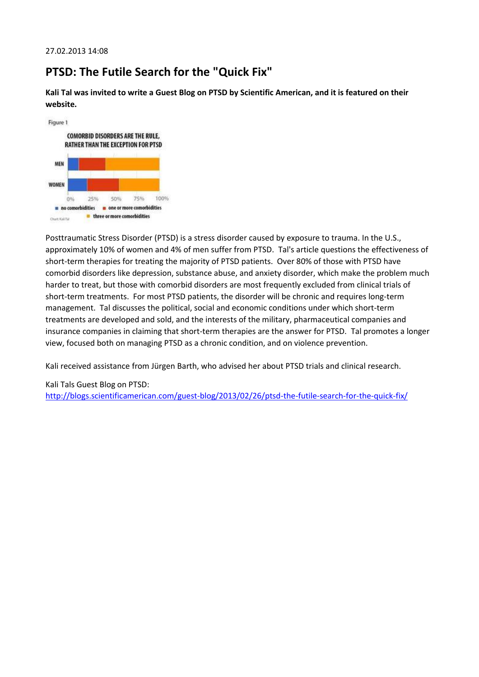## **PTSD: The Futile Search for the "Quick Fix"**

**Kali Tal was invited to write a Guest Blog on PTSD by Scientific American, and it is featured on their website.**



Posttraumatic Stress Disorder (PTSD) is a stress disorder caused by exposure to trauma. In the U.S., approximately 10% of women and 4% of men suffer from PTSD. Tal's article questions the effectiveness of short-term therapies for treating the majority of PTSD patients. Over 80% of those with PTSD have comorbid disorders like depression, substance abuse, and anxiety disorder, which make the problem much harder to treat, but those with comorbid disorders are most frequently excluded from clinical trials of short-term treatments. For most PTSD patients, the disorder will be chronic and requires long-term management. Tal discusses the political, social and economic conditions under which short-term treatments are developed and sold, and the interests of the military, pharmaceutical companies and insurance companies in claiming that short-term therapies are the answer for PTSD. Tal promotes a longer view, focused both on managing PTSD as a chronic condition, and on violence prevention.

Kali received assistance from Jürgen Barth, who advised her about PTSD trials and clinical research.

Kali Tals Guest Blog on PTSD: <http://blogs.scientificamerican.com/guest-blog/2013/02/26/ptsd-the-futile-search-for-the-quick-fix/>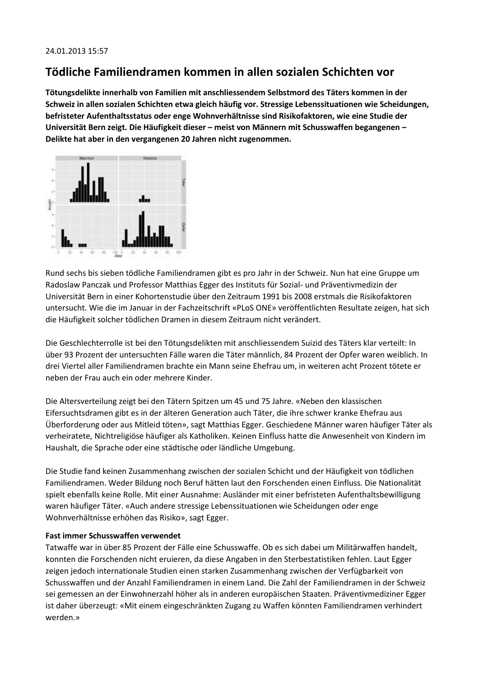## **Tödliche Familiendramen kommen in allen sozialen Schichten vor**

**Tötungsdelikte innerhalb von Familien mit anschliessendem Selbstmord des Täters kommen in der Schweiz in allen sozialen Schichten etwa gleich häufig vor. Stressige Lebenssituationen wie Scheidungen, befristeter Aufenthaltsstatus oder enge Wohnverhältnisse sind Risikofaktoren, wie eine Studie der Universität Bern zeigt. Die Häufigkeit dieser – meist von Männern mit Schusswaffen begangenen – Delikte hat aber in den vergangenen 20 Jahren nicht zugenommen.**



Rund sechs bis sieben tödliche Familiendramen gibt es pro Jahr in der Schweiz. Nun hat eine Gruppe um Radoslaw Panczak und Professor Matthias Egger des Instituts für Sozial- und Präventivmedizin der Universität Bern in einer Kohortenstudie über den Zeitraum 1991 bis 2008 erstmals die Risikofaktoren untersucht. Wie die im Januar in der Fachzeitschrift «PLoS ONE» veröffentlichten Resultate zeigen, hat sich die Häufigkeit solcher tödlichen Dramen in diesem Zeitraum nicht verändert.

Die Geschlechterrolle ist bei den Tötungsdelikten mit anschliessendem Suizid des Täters klar verteilt: In über 93 Prozent der untersuchten Fälle waren die Täter männlich, 84 Prozent der Opfer waren weiblich. In drei Viertel aller Familiendramen brachte ein Mann seine Ehefrau um, in weiteren acht Prozent tötete er neben der Frau auch ein oder mehrere Kinder.

Die Altersverteilung zeigt bei den Tätern Spitzen um 45 und 75 Jahre. «Neben den klassischen Eifersuchtsdramen gibt es in der älteren Generation auch Täter, die ihre schwer kranke Ehefrau aus Überforderung oder aus Mitleid töten», sagt Matthias Egger. Geschiedene Männer waren häufiger Täter als verheiratete, Nichtreligiöse häufiger als Katholiken. Keinen Einfluss hatte die Anwesenheit von Kindern im Haushalt, die Sprache oder eine städtische oder ländliche Umgebung.

Die Studie fand keinen Zusammenhang zwischen der sozialen Schicht und der Häufigkeit von tödlichen Familiendramen. Weder Bildung noch Beruf hätten laut den Forschenden einen Einfluss. Die Nationalität spielt ebenfalls keine Rolle. Mit einer Ausnahme: Ausländer mit einer befristeten Aufenthaltsbewilligung waren häufiger Täter. «Auch andere stressige Lebenssituationen wie Scheidungen oder enge Wohnverhältnisse erhöhen das Risiko», sagt Egger.

### **Fast immer Schusswaffen verwendet**

Tatwaffe war in über 85 Prozent der Fälle eine Schusswaffe. Ob es sich dabei um Militärwaffen handelt, konnten die Forschenden nicht eruieren, da diese Angaben in den Sterbestatistiken fehlen. Laut Egger zeigen jedoch internationale Studien einen starken Zusammenhang zwischen der Verfügbarkeit von Schusswaffen und der Anzahl Familiendramen in einem Land. Die Zahl der Familiendramen in der Schweiz sei gemessen an der Einwohnerzahl höher als in anderen europäischen Staaten. Präventivmediziner Egger ist daher überzeugt: «Mit einem eingeschränkten Zugang zu Waffen könnten Familiendramen verhindert werden.»